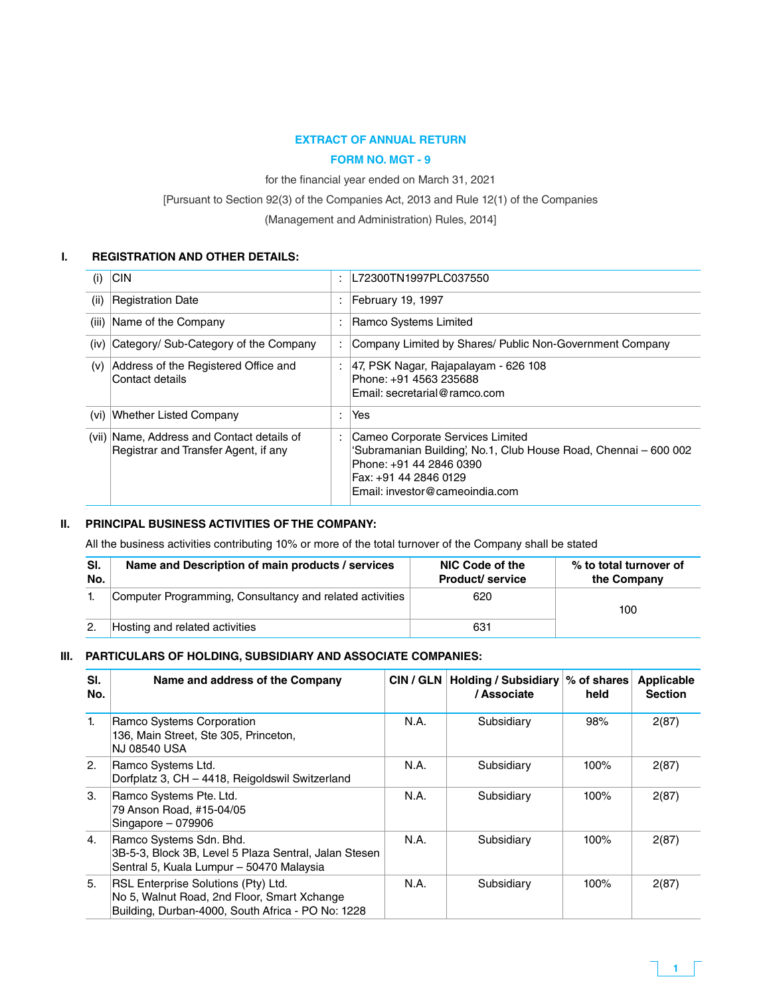### **EXTRACT OF ANNUAL RETURN**

### **Form No. MGT - 9**

for the financial year ended on March 31, 2021

[Pursuant to Section 92(3) of the Companies Act, 2013 and Rule 12(1) of the Companies

(Management and Administration) Rules, 2014]

#### **I. REGISTRATION AND OTHER DETAILS:**

| (i)  | C                                                                                  |   | L72300TN1997PLC037550                                                                                                                                                                      |
|------|------------------------------------------------------------------------------------|---|--------------------------------------------------------------------------------------------------------------------------------------------------------------------------------------------|
| (ii) | Registration Date                                                                  |   | February 19, 1997                                                                                                                                                                          |
|      | (iii) Name of the Company                                                          |   | Ramco Systems Limited                                                                                                                                                                      |
| (iv) | Category/ Sub-Category of the Company                                              | ÷ | Company Limited by Shares/ Public Non-Government Company                                                                                                                                   |
| (v)  | Address of the Registered Office and<br>Contact details                            |   | 47, PSK Nagar, Rajapalayam - 626 108<br>Phone: +91 4563 235688<br>Email: secretarial@ramco.com                                                                                             |
| (vi) | Whether Listed Company                                                             |   | Yes                                                                                                                                                                                        |
|      | (vii) Name, Address and Contact details of<br>Registrar and Transfer Agent, if any |   | Cameo Corporate Services Limited<br>'Subramanian Building', No.1, Club House Road, Chennai - 600 002<br>Phone: +91 44 2846 0390<br>Fax: +91 44 2846 0129<br>Email: investor@cameoindia.com |

#### **II. PRINCIPAL BUSINESS ACTIVITIES OF THE COMPANY:**

All the business activities contributing 10% or more of the total turnover of the Company shall be stated

| SI.<br>No. | Name and Description of main products / services         | NIC Code of the<br><b>Product/service</b> | % to total turnover of<br>the Company |
|------------|----------------------------------------------------------|-------------------------------------------|---------------------------------------|
|            | Computer Programming, Consultancy and related activities | 620                                       | 100                                   |
|            | Hosting and related activities                           | 631                                       |                                       |

#### **III. PARTICULARS OF HOLDING, SUBSIDIARY AND ASSOCIATE COMPANIES:**

| SI.<br>No. | Name and address of the Company                                                                                                         | CIN / GLN | <b>Holding / Subsidiary</b><br>/ Associate | % of shares<br>held | <b>Applicable</b><br><b>Section</b> |
|------------|-----------------------------------------------------------------------------------------------------------------------------------------|-----------|--------------------------------------------|---------------------|-------------------------------------|
| 1.         | Ramco Systems Corporation<br>136, Main Street, Ste 305, Princeton,<br><b>NJ 08540 USA</b>                                               | N.A.      | Subsidiary                                 | 98%                 | 2(87)                               |
| 2.         | Ramco Systems Ltd.<br>Dorfplatz 3, CH - 4418, Reigoldswil Switzerland                                                                   | N.A.      | Subsidiary                                 | $100\%$             | 2(87)                               |
| 3.         | Ramco Systems Pte. Ltd.<br>79 Anson Road, #15-04/05<br>Singapore $-079906$                                                              | N.A.      | Subsidiary                                 | 100%                | 2(87)                               |
| 4.         | Ramco Systems Sdn. Bhd.<br>3B-5-3, Block 3B, Level 5 Plaza Sentral, Jalan Stesen<br>Sentral 5, Kuala Lumpur - 50470 Malaysia            | N.A.      | Subsidiary                                 | $100\%$             | 2(87)                               |
| 5.         | RSL Enterprise Solutions (Pty) Ltd.<br>No 5, Walnut Road, 2nd Floor, Smart Xchange<br>Building, Durban-4000, South Africa - PO No: 1228 | N.A.      | Subsidiary                                 | 100%                | 2(87)                               |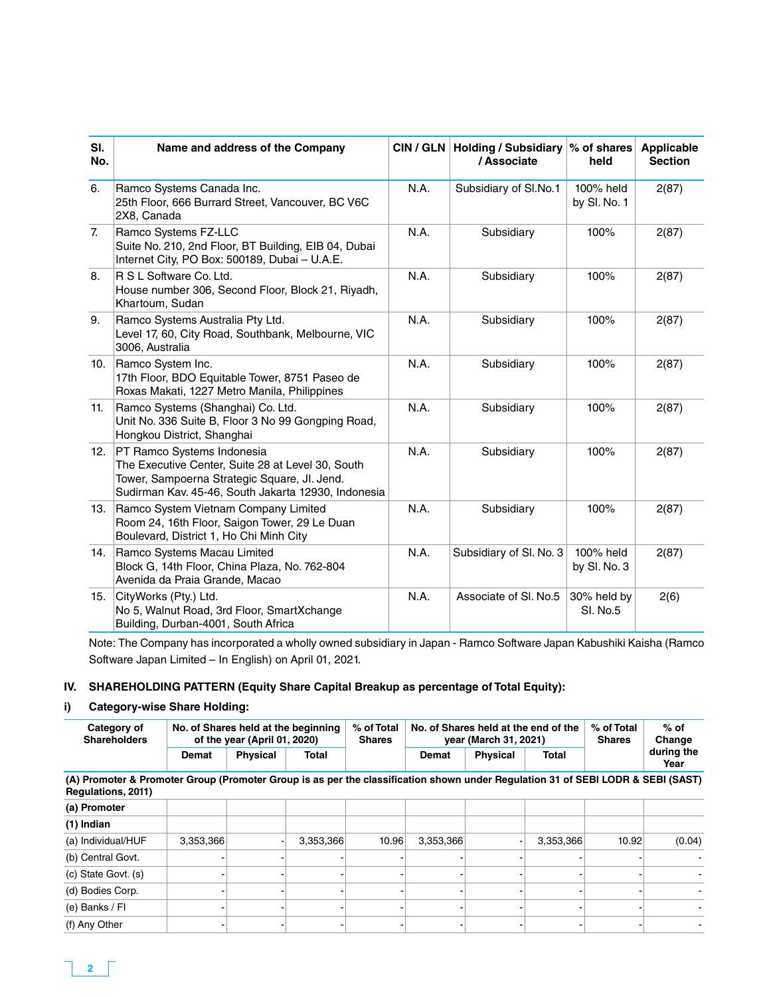| SI.<br>No.       | Name and address of the Company                                                                                                                                                        |      | CIN / GLN   Holding / Subsidiary  % of shares<br>/ Associate | held                           | <b>Applicable</b><br><b>Section</b> |
|------------------|----------------------------------------------------------------------------------------------------------------------------------------------------------------------------------------|------|--------------------------------------------------------------|--------------------------------|-------------------------------------|
| 6.               | Ramco Systems Canada Inc.<br>25th Floor, 666 Burrard Street, Vancouver, BC V6C<br>2X8, Canada                                                                                          | N.A. | Subsidiary of SI.No.1                                        | 100% held<br>by SI. No. 1      | 2(87)                               |
| $\overline{7}$ . | Ramco Systems FZ-LLC<br>Suite No. 210, 2nd Floor, BT Building, EIB 04, Dubai<br>Internet City, PO Box: 500189, Dubai - U.A.E.                                                          | N.A. | Subsidiary                                                   | 100%                           | 2(87)                               |
| 8.               | R S L Software Co. Ltd.<br>House number 306, Second Floor, Block 21, Riyadh,<br>Khartoum, Sudan                                                                                        | N.A. | Subsidiary                                                   | 100%                           | 2(87)                               |
| 9.               | Ramco Systems Australia Pty Ltd.<br>Level 17, 60, City Road, Southbank, Melbourne, VIC<br>3006, Australia                                                                              | N.A. | Subsidiary                                                   | 100%                           | 2(87)                               |
| 10.              | Ramco System Inc.<br>17th Floor, BDO Equitable Tower, 8751 Paseo de<br>Roxas Makati, 1227 Metro Manila, Philippines                                                                    | N.A. | Subsidiary                                                   | 100%                           | 2(87)                               |
| 11.              | Ramco Systems (Shanghai) Co. Ltd.<br>Unit No. 336 Suite B, Floor 3 No 99 Gongping Road,<br>Hongkou District, Shanghai                                                                  | N.A. | Subsidiary                                                   | 100%                           | 2(87)                               |
| 12.              | PT Ramco Systems Indonesia<br>The Executive Center, Suite 28 at Level 30, South<br>Tower, Sampoerna Strategic Square, Jl. Jend.<br>Sudirman Kav. 45-46, South Jakarta 12930, Indonesia | N.A. | Subsidiary                                                   | 100%                           | 2(87)                               |
| 13.              | Ramco System Vietnam Company Limited<br>Room 24, 16th Floor, Saigon Tower, 29 Le Duan<br>Boulevard, District 1, Ho Chi Minh City                                                       | N.A. | Subsidiary                                                   | 100%                           | 2(87)                               |
| 14.              | Ramco Systems Macau Limited<br>Block G, 14th Floor, China Plaza, No. 762-804<br>Avenida da Praia Grande, Macao                                                                         | N.A. | Subsidiary of Sl. No. 3                                      | 100% held<br>by SI. No. 3      | 2(87)                               |
| 15.              | CityWorks (Pty.) Ltd.<br>No 5, Walnut Road, 3rd Floor, SmartXchange<br>Building, Durban-4001, South Africa                                                                             | N.A. | Associate of SI, No.5                                        | 30% held by<br><b>SI. No.5</b> | 2(6)                                |

Note: The Company has incorporated a wholly owned subsidiary in Japan - Ramco Software Japan Kabushiki Kaisha (Ramco Software Japan Limited – In English) on April 01, 2021.

### **IV. SHAREHOLDING PATTERN (Equity Share Capital Breakup as percentage of Total Equity):**

### **i) Category-wise Share Holding:**

| Category of<br><b>Shareholders</b>                                                                                                                    |           | % of Total<br>No. of Shares held at the beginning<br>of the year (April 01, 2020) |           |       |           | No. of Shares held at the end of the<br>year (March 31, 2021) |           | % of Total<br><b>Shares</b> | $%$ of<br>Change   |
|-------------------------------------------------------------------------------------------------------------------------------------------------------|-----------|-----------------------------------------------------------------------------------|-----------|-------|-----------|---------------------------------------------------------------|-----------|-----------------------------|--------------------|
|                                                                                                                                                       | Demat     | <b>Physical</b>                                                                   | Total     |       | Demat     | <b>Physical</b>                                               | Total     |                             | during the<br>Year |
| (A) Promoter & Promoter Group (Promoter Group is as per the classification shown under Regulation 31 of SEBI LODR & SEBI (SAST)<br>Regulations, 2011) |           |                                                                                   |           |       |           |                                                               |           |                             |                    |
| (a) Promoter                                                                                                                                          |           |                                                                                   |           |       |           |                                                               |           |                             |                    |
| (1) Indian                                                                                                                                            |           |                                                                                   |           |       |           |                                                               |           |                             |                    |
| (a) Individual/HUF                                                                                                                                    | 3,353,366 |                                                                                   | 3,353,366 | 10.96 | 3,353,366 |                                                               | 3,353,366 | 10.92                       | (0.04)             |
| (b) Central Govt.                                                                                                                                     |           |                                                                                   |           |       |           |                                                               |           |                             |                    |
| (c) State Govt. (s)                                                                                                                                   |           |                                                                                   |           |       |           |                                                               |           |                             |                    |
| (d) Bodies Corp.                                                                                                                                      |           |                                                                                   |           |       |           |                                                               |           |                             |                    |
| (e) Banks / Fl                                                                                                                                        |           |                                                                                   |           |       |           |                                                               |           |                             |                    |
| (f) Any Other                                                                                                                                         |           |                                                                                   |           |       |           |                                                               |           |                             |                    |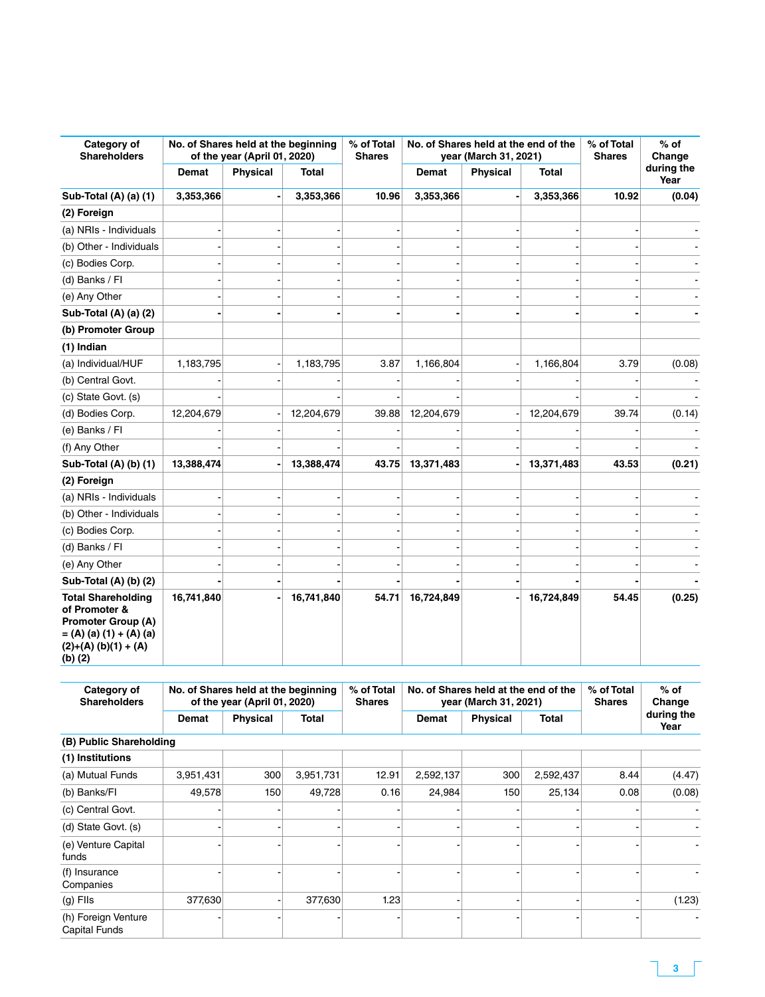| Category of<br><b>Shareholders</b>                                                                                                            |            | No. of Shares held at the beginning<br>of the year (April 01, 2020) |              | % of Total<br><b>Shares</b> | No. of Shares held at the end of the<br>year (March 31, 2021) |                 |              | % of Total<br><b>Shares</b> | $%$ of<br>Change<br>during the |
|-----------------------------------------------------------------------------------------------------------------------------------------------|------------|---------------------------------------------------------------------|--------------|-----------------------------|---------------------------------------------------------------|-----------------|--------------|-----------------------------|--------------------------------|
|                                                                                                                                               | Demat      | <b>Physical</b>                                                     | <b>Total</b> |                             | <b>Demat</b>                                                  | <b>Physical</b> | <b>Total</b> |                             | Year                           |
| Sub-Total (A) (a) (1)                                                                                                                         | 3,353,366  |                                                                     | 3,353,366    | 10.96                       | 3,353,366                                                     |                 | 3,353,366    | 10.92                       | (0.04)                         |
| (2) Foreign                                                                                                                                   |            |                                                                     |              |                             |                                                               |                 |              |                             |                                |
| (a) NRIs - Individuals                                                                                                                        |            |                                                                     |              |                             |                                                               |                 |              |                             |                                |
| (b) Other - Individuals                                                                                                                       |            |                                                                     |              |                             |                                                               |                 |              |                             |                                |
| (c) Bodies Corp.                                                                                                                              |            |                                                                     |              |                             |                                                               |                 |              |                             |                                |
| (d) Banks / FI                                                                                                                                |            |                                                                     |              |                             |                                                               |                 |              |                             |                                |
| (e) Any Other                                                                                                                                 |            |                                                                     |              |                             |                                                               |                 |              |                             |                                |
| Sub-Total (A) (a) (2)                                                                                                                         |            |                                                                     |              |                             |                                                               |                 |              |                             |                                |
| (b) Promoter Group                                                                                                                            |            |                                                                     |              |                             |                                                               |                 |              |                             |                                |
| (1) Indian                                                                                                                                    |            |                                                                     |              |                             |                                                               |                 |              |                             |                                |
| (a) Individual/HUF                                                                                                                            | 1,183,795  |                                                                     | 1,183,795    | 3.87                        | 1,166,804                                                     |                 | 1,166,804    | 3.79                        | (0.08)                         |
| (b) Central Govt.                                                                                                                             |            |                                                                     |              |                             |                                                               |                 |              |                             |                                |
| (c) State Govt. (s)                                                                                                                           |            |                                                                     |              |                             |                                                               |                 |              |                             |                                |
| (d) Bodies Corp.                                                                                                                              | 12,204,679 |                                                                     | 12,204,679   | 39.88                       | 12,204,679                                                    |                 | 12,204,679   | 39.74                       | (0.14)                         |
| (e) Banks / FI                                                                                                                                |            |                                                                     |              |                             |                                                               |                 |              |                             |                                |
| (f) Any Other                                                                                                                                 |            |                                                                     |              |                             |                                                               |                 |              |                             |                                |
| Sub-Total (A) (b) (1)                                                                                                                         | 13,388,474 |                                                                     | 13,388,474   | 43.75                       | 13,371,483                                                    |                 | 13,371,483   | 43.53                       | (0.21)                         |
| (2) Foreign                                                                                                                                   |            |                                                                     |              |                             |                                                               |                 |              |                             |                                |
| (a) NRIs - Individuals                                                                                                                        |            |                                                                     |              |                             |                                                               |                 |              |                             |                                |
| (b) Other - Individuals                                                                                                                       |            |                                                                     |              |                             |                                                               |                 |              |                             |                                |
| (c) Bodies Corp.                                                                                                                              |            |                                                                     |              |                             |                                                               |                 |              |                             |                                |
| (d) Banks / Fl                                                                                                                                |            |                                                                     |              |                             |                                                               |                 |              |                             |                                |
| (e) Any Other                                                                                                                                 |            |                                                                     |              |                             |                                                               |                 |              |                             |                                |
| Sub-Total (A) (b) (2)                                                                                                                         |            |                                                                     |              |                             |                                                               |                 |              |                             |                                |
| <b>Total Shareholding</b><br>of Promoter &<br><b>Promoter Group (A)</b><br>$= (A) (a) (1) + (A) (a)$<br>$(2)+(A)$ (b)(1) + (A)<br>$(b)$ $(2)$ | 16,741,840 |                                                                     | 16,741,840   | 54.71                       | 16,724,849                                                    |                 | 16,724,849   | 54.45                       | (0.25)                         |

| Category of<br><b>Shareholders</b>   |           | No. of Shares held at the beginning<br>of the year (April 01, 2020) |           | % of Total<br><b>Shares</b> |              | No. of Shares held at the end of the<br>year (March 31, 2021) | % of Total<br><b>Shares</b> | $%$ of<br>Change |                    |
|--------------------------------------|-----------|---------------------------------------------------------------------|-----------|-----------------------------|--------------|---------------------------------------------------------------|-----------------------------|------------------|--------------------|
|                                      | Demat     | <b>Physical</b>                                                     | Total     |                             | <b>Demat</b> | <b>Physical</b>                                               | Total                       |                  | during the<br>Year |
| (B) Public Shareholding              |           |                                                                     |           |                             |              |                                                               |                             |                  |                    |
| (1) Institutions                     |           |                                                                     |           |                             |              |                                                               |                             |                  |                    |
| (a) Mutual Funds                     | 3,951,431 | 300                                                                 | 3,951,731 | 12.91                       | 2,592,137    | 300                                                           | 2,592,437                   | 8.44             | (4.47)             |
| (b) Banks/FI                         | 49,578    | 150                                                                 | 49,728    | 0.16                        | 24,984       | 150                                                           | 25,134                      | 0.08             | (0.08)             |
| (c) Central Govt.                    |           |                                                                     |           |                             |              |                                                               |                             |                  |                    |
| (d) State Govt. (s)                  |           |                                                                     |           |                             |              |                                                               |                             |                  |                    |
| (e) Venture Capital<br>funds         |           |                                                                     |           |                             |              |                                                               |                             |                  |                    |
| (f) Insurance<br>Companies           |           |                                                                     |           |                             |              |                                                               |                             |                  |                    |
| $(g)$ Fils                           | 377,630   |                                                                     | 377,630   | 1.23                        |              |                                                               |                             |                  | (1.23)             |
| (h) Foreign Venture<br>Capital Funds |           |                                                                     |           |                             |              |                                                               |                             |                  |                    |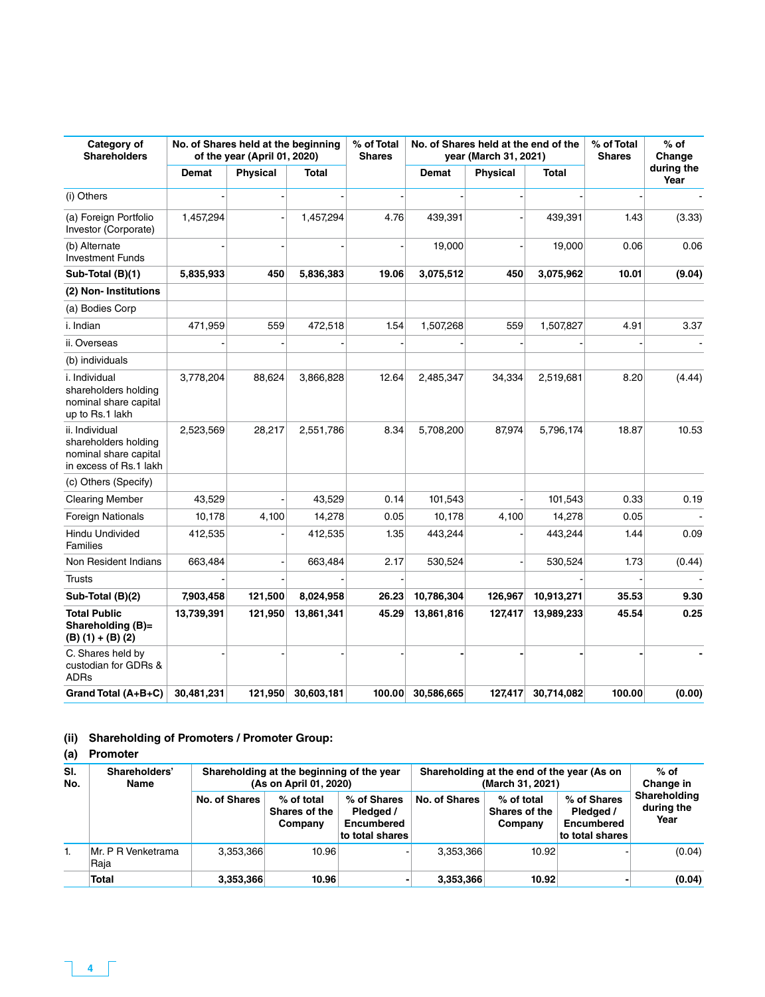| Category of<br><b>Shareholders</b>                                                        |            | No. of Shares held at the beginning<br>of the year (April 01, 2020) |            | % of Total<br><b>Shares</b> | No. of Shares held at the end of the<br>year (March 31, 2021) |                 |            | % of Total<br><b>Shares</b> | % of<br>Change     |
|-------------------------------------------------------------------------------------------|------------|---------------------------------------------------------------------|------------|-----------------------------|---------------------------------------------------------------|-----------------|------------|-----------------------------|--------------------|
|                                                                                           | Demat      | Physical                                                            | Total      |                             | Demat                                                         | <b>Physical</b> | Total      |                             | during the<br>Year |
| (i) Others                                                                                |            |                                                                     |            |                             |                                                               |                 |            |                             |                    |
| (a) Foreign Portfolio<br>Investor (Corporate)                                             | 1,457,294  |                                                                     | 1,457,294  | 4.76                        | 439,391                                                       |                 | 439,391    | 1.43                        | (3.33)             |
| (b) Alternate<br><b>Investment Funds</b>                                                  |            |                                                                     |            |                             | 19,000                                                        |                 | 19,000     | 0.06                        | 0.06               |
| Sub-Total (B)(1)                                                                          | 5,835,933  | 450                                                                 | 5,836,383  | 19.06                       | 3,075,512                                                     | 450             | 3,075,962  | 10.01                       | (9.04)             |
| (2) Non-Institutions                                                                      |            |                                                                     |            |                             |                                                               |                 |            |                             |                    |
| (a) Bodies Corp                                                                           |            |                                                                     |            |                             |                                                               |                 |            |                             |                    |
| i. Indian                                                                                 | 471,959    | 559                                                                 | 472,518    | 1.54                        | 1,507,268                                                     | 559             | 1,507,827  | 4.91                        | 3.37               |
| ii. Overseas                                                                              |            |                                                                     |            |                             |                                                               |                 |            |                             |                    |
| (b) individuals                                                                           |            |                                                                     |            |                             |                                                               |                 |            |                             |                    |
| i. Individual<br>shareholders holding<br>nominal share capital<br>up to Rs.1 lakh         | 3,778,204  | 88,624                                                              | 3,866,828  | 12.64                       | 2,485,347                                                     | 34,334          | 2,519,681  | 8.20                        | (4.44)             |
| ii. Individual<br>shareholders holding<br>nominal share capital<br>in excess of Rs.1 lakh | 2,523,569  | 28,217                                                              | 2,551,786  | 8.34                        | 5,708,200                                                     | 87,974          | 5,796,174  | 18.87                       | 10.53              |
| (c) Others (Specify)                                                                      |            |                                                                     |            |                             |                                                               |                 |            |                             |                    |
| <b>Clearing Member</b>                                                                    | 43,529     |                                                                     | 43,529     | 0.14                        | 101,543                                                       |                 | 101,543    | 0.33                        | 0.19               |
| <b>Foreign Nationals</b>                                                                  | 10,178     | 4,100                                                               | 14,278     | 0.05                        | 10,178                                                        | 4,100           | 14,278     | 0.05                        |                    |
| Hindu Undivided<br>Families                                                               | 412,535    |                                                                     | 412,535    | 1.35                        | 443,244                                                       |                 | 443,244    | 1.44                        | 0.09               |
| Non Resident Indians                                                                      | 663,484    |                                                                     | 663,484    | 2.17                        | 530,524                                                       |                 | 530,524    | 1.73                        | (0.44)             |
| <b>Trusts</b>                                                                             |            |                                                                     |            |                             |                                                               |                 |            |                             |                    |
| Sub-Total (B)(2)                                                                          | 7,903,458  | 121,500                                                             | 8,024,958  | 26.23                       | 10,786,304                                                    | 126,967         | 10,913,271 | 35.53                       | 9.30               |
| <b>Total Public</b><br>Shareholding (B)=<br>$(B) (1) + (B) (2)$                           | 13,739,391 | 121,950                                                             | 13,861,341 | 45.29                       | 13,861,816                                                    | 127,417         | 13,989,233 | 45.54                       | 0.25               |
| C. Shares held by<br>custodian for GDRs &<br><b>ADRs</b>                                  |            |                                                                     |            |                             |                                                               |                 |            |                             |                    |
| Grand Total (A+B+C)                                                                       | 30,481,231 | 121,950                                                             | 30,603,181 | 100.00                      | 30,586,665                                                    | 127.417         | 30,714,082 | 100.00                      | (0.00)             |

## **(ii) Shareholding of Promoters / Promoter Group:**

# **(a) Promoter**

| SI.<br>No. | Shareholders'<br>Name      | Shareholding at the beginning of the year<br>(As on April 01, 2020) |                                        |                                                           | Shareholding at the end of the year (As on<br>(March 31, 2021) | $%$ of<br>Change in                    |                                                                  |                                    |
|------------|----------------------------|---------------------------------------------------------------------|----------------------------------------|-----------------------------------------------------------|----------------------------------------------------------------|----------------------------------------|------------------------------------------------------------------|------------------------------------|
|            |                            | No. of Shares                                                       | % of total<br>Shares of the<br>Company | % of Shares<br>Pledged /<br>Encumbered<br>to total shares | No. of Shares                                                  | % of total<br>Shares of the<br>Company | % of Shares<br>Pledged /<br><b>Encumbered</b><br>to total shares | Shareholding<br>during the<br>Year |
|            | Mr. P R Venketrama<br>Raja | 3.353.366                                                           | 10.96                                  |                                                           | 3.353.366                                                      | 10.92                                  |                                                                  | (0.04)                             |
|            | <b>Total</b>               | 3,353,366                                                           | 10.96                                  |                                                           | 3,353,366                                                      | 10.92                                  |                                                                  | (0.04)                             |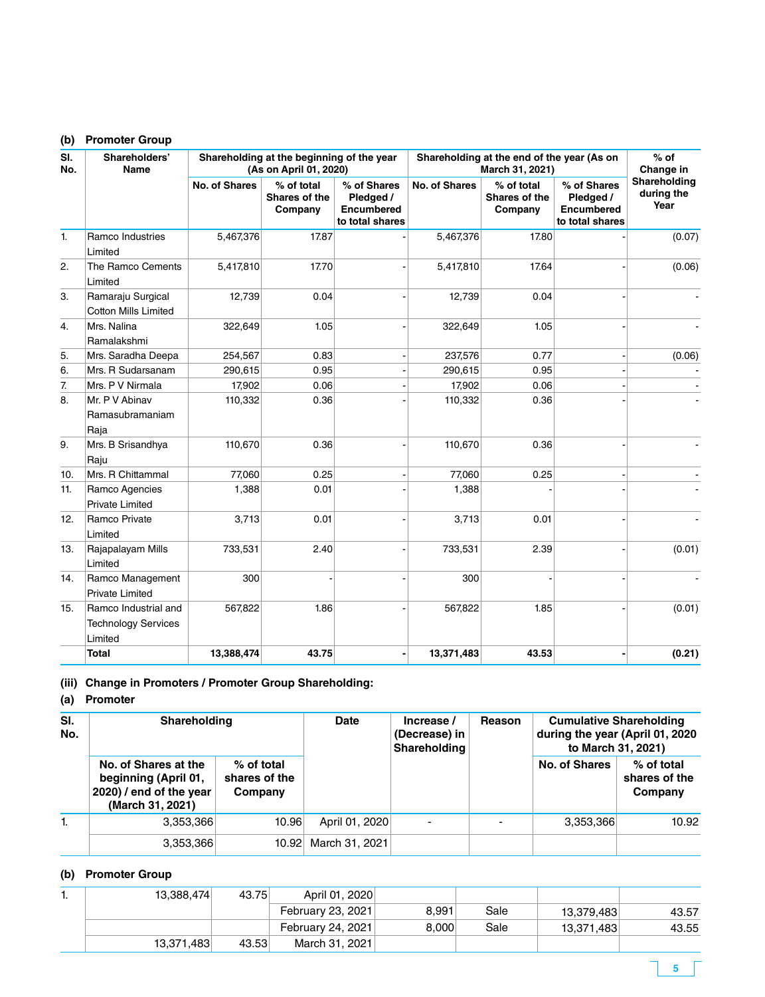### **(b) Promoter Group**

| SI.<br>No.       | Shareholders'<br>Name                                         |                      | Shareholding at the beginning of the year<br>(As on April 01, 2020) |                                                                  | Shareholding at the end of the year (As on<br>March 31, 2021) | $%$ of<br>Change in                    |                                                                  |                                    |
|------------------|---------------------------------------------------------------|----------------------|---------------------------------------------------------------------|------------------------------------------------------------------|---------------------------------------------------------------|----------------------------------------|------------------------------------------------------------------|------------------------------------|
|                  |                                                               | <b>No. of Shares</b> | % of total<br><b>Shares of the</b><br>Company                       | % of Shares<br>Pledged /<br><b>Encumbered</b><br>to total shares | <b>No. of Shares</b>                                          | % of total<br>Shares of the<br>Company | % of Shares<br>Pledged /<br><b>Encumbered</b><br>to total shares | Shareholding<br>during the<br>Year |
| 1.               | Ramco Industries<br>Limited                                   | 5,467,376            | 17.87                                                               |                                                                  | 5,467,376                                                     | 17.80                                  |                                                                  | (0.07)                             |
| 2.               | The Ramco Cements<br>Limited                                  | 5,417,810            | 17.70                                                               |                                                                  | 5,417,810                                                     | 17.64                                  |                                                                  | (0.06)                             |
| 3.               | Ramaraju Surgical<br><b>Cotton Mills Limited</b>              | 12,739               | 0.04                                                                |                                                                  | 12,739                                                        | 0.04                                   |                                                                  |                                    |
| 4.               | Mrs. Nalina<br>Ramalakshmi                                    | 322,649              | 1.05                                                                |                                                                  | 322,649                                                       | 1.05                                   |                                                                  |                                    |
| 5.               | Mrs. Saradha Deepa                                            | 254,567              | 0.83                                                                |                                                                  | 237,576                                                       | 0.77                                   |                                                                  | (0.06)                             |
| 6.               | Mrs. R Sudarsanam                                             | 290,615              | 0.95                                                                |                                                                  | 290,615                                                       | 0.95                                   |                                                                  |                                    |
| $\overline{7}$ . | Mrs. P V Nirmala                                              | 17,902               | 0.06                                                                |                                                                  | 17,902                                                        | 0.06                                   |                                                                  |                                    |
| 8.               | Mr. P V Abinav<br>Ramasubramaniam<br>Raja                     | 110,332              | 0.36                                                                |                                                                  | 110,332                                                       | 0.36                                   |                                                                  |                                    |
| 9.               | Mrs. B Srisandhya<br>Raju                                     | 110,670              | 0.36                                                                |                                                                  | 110,670                                                       | 0.36                                   |                                                                  |                                    |
| 10.              | Mrs. R Chittammal                                             | 77,060               | 0.25                                                                |                                                                  | 77,060                                                        | 0.25                                   |                                                                  |                                    |
| 11.              | Ramco Agencies<br>Private Limited                             | 1,388                | 0.01                                                                |                                                                  | 1,388                                                         |                                        |                                                                  |                                    |
| 12.              | Ramco Private<br>Limited                                      | 3,713                | 0.01                                                                |                                                                  | 3,713                                                         | 0.01                                   |                                                                  |                                    |
| 13.              | Rajapalayam Mills<br>Limited                                  | 733,531              | 2.40                                                                |                                                                  | 733,531                                                       | 2.39                                   |                                                                  | (0.01)                             |
| 14.              | Ramco Management<br><b>Private Limited</b>                    | 300                  |                                                                     |                                                                  | 300                                                           |                                        |                                                                  |                                    |
| 15.              | Ramco Industrial and<br><b>Technology Services</b><br>Limited | 567,822              | 1.86                                                                |                                                                  | 567,822                                                       | 1.85                                   |                                                                  | (0.01)                             |
|                  | <b>Total</b>                                                  | 13,388,474           | 43.75                                                               |                                                                  | 13,371,483                                                    | 43.53                                  |                                                                  | (0.21)                             |

# **(iii) Change in Promoters / Promoter Group Shareholding:**

## **(a) Promoter**

| SI.<br>No. | Shareholding                                                                                | <b>Date</b>                            | Increase /<br>(Decrease) in<br>Shareholding | Reason | <b>Cumulative Shareholding</b><br>during the year (April 01, 2020<br>to March 31, 2021) |               |                                        |
|------------|---------------------------------------------------------------------------------------------|----------------------------------------|---------------------------------------------|--------|-----------------------------------------------------------------------------------------|---------------|----------------------------------------|
|            | No. of Shares at the<br>beginning (April 01,<br>2020) / end of the year<br>(March 31, 2021) | % of total<br>shares of the<br>Company |                                             |        |                                                                                         | No. of Shares | % of total<br>shares of the<br>Company |
| 1.         | 3,353,366                                                                                   | 10.96                                  | April 01, 2020                              |        |                                                                                         | 3,353,366     | 10.92                                  |
|            | 3,353,366                                                                                   | 10.92                                  | March 31, 2021                              |        |                                                                                         |               |                                        |

# **(b) Promoter Group**

| . . | 13,388,474 | 43.75 | April 01, 2020           |       |      |            |       |
|-----|------------|-------|--------------------------|-------|------|------------|-------|
|     |            |       | February 23, 2021        | 8.991 | Sale | 13,379,483 | 43.57 |
|     |            |       | <b>February 24, 2021</b> | 8.000 | Sale | 13,371,483 | 43.55 |
|     | 13,371,483 | 43.53 | March 31, 2021           |       |      |            |       |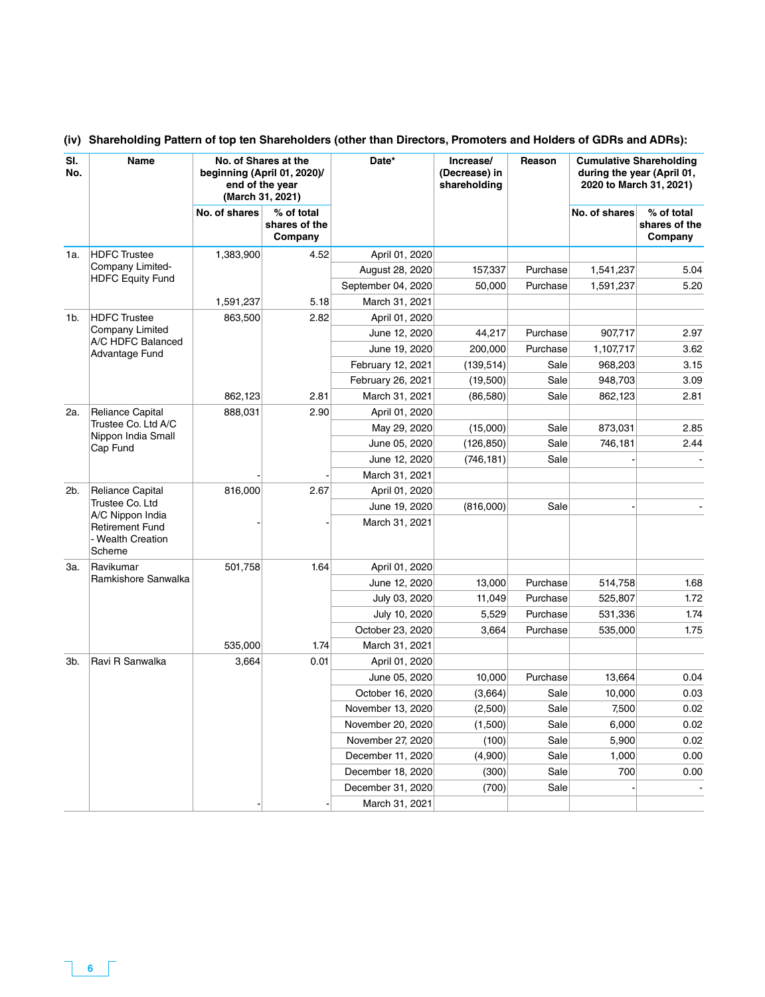| SI.<br>No. | Name                                                                                  | No. of Shares at the<br>beginning (April 01, 2020)/<br>end of the year<br>(March 31, 2021) |                                        | Date*              | Increase/<br>(Decrease) in<br>shareholding | Reason   | <b>Cumulative Shareholding</b><br>during the year (April 01,<br>2020 to March 31, 2021) |                                        |
|------------|---------------------------------------------------------------------------------------|--------------------------------------------------------------------------------------------|----------------------------------------|--------------------|--------------------------------------------|----------|-----------------------------------------------------------------------------------------|----------------------------------------|
|            |                                                                                       | No. of shares                                                                              | % of total<br>shares of the<br>Company |                    |                                            |          | No. of shares                                                                           | % of total<br>shares of the<br>Company |
| 1a.        | <b>HDFC</b> Trustee                                                                   | 1,383,900                                                                                  | 4.52                                   | April 01, 2020     |                                            |          |                                                                                         |                                        |
|            | Company Limited-                                                                      |                                                                                            |                                        | August 28, 2020    | 157,337                                    | Purchase | 1,541,237                                                                               | 5.04                                   |
|            | <b>HDFC Equity Fund</b>                                                               |                                                                                            |                                        | September 04, 2020 | 50,000                                     | Purchase | 1,591,237                                                                               | 5.20                                   |
|            |                                                                                       | 1,591,237                                                                                  | 5.18                                   | March 31, 2021     |                                            |          |                                                                                         |                                        |
| 1b.        | <b>HDFC</b> Trustee                                                                   | 863,500                                                                                    | 2.82                                   | April 01, 2020     |                                            |          |                                                                                         |                                        |
|            | Company Limited                                                                       |                                                                                            |                                        | June 12, 2020      | 44,217                                     | Purchase | 907,717                                                                                 | 2.97                                   |
|            | A/C HDFC Balanced<br>Advantage Fund                                                   |                                                                                            |                                        | June 19, 2020      | 200,000                                    | Purchase | 1,107,717                                                                               | 3.62                                   |
|            |                                                                                       |                                                                                            |                                        | February 12, 2021  | (139, 514)                                 | Sale     | 968,203                                                                                 | 3.15                                   |
|            |                                                                                       |                                                                                            |                                        | February 26, 2021  | (19,500)                                   | Sale     | 948,703                                                                                 | 3.09                                   |
|            |                                                                                       | 862,123                                                                                    | 2.81                                   | March 31, 2021     | (86, 580)                                  | Sale     | 862,123                                                                                 | 2.81                                   |
| 2a.        | <b>Reliance Capital</b><br>Trustee Co. Ltd A/C<br>Nippon India Small<br>Cap Fund      | 888,031                                                                                    | 2.90                                   | April 01, 2020     |                                            |          |                                                                                         |                                        |
|            |                                                                                       |                                                                                            |                                        | May 29, 2020       | (15,000)                                   | Sale     | 873,031                                                                                 | 2.85                                   |
|            |                                                                                       |                                                                                            |                                        | June 05, 2020      | (126, 850)                                 | Sale     | 746,181                                                                                 | 2.44                                   |
|            |                                                                                       |                                                                                            |                                        | June 12, 2020      | (746, 181)                                 | Sale     |                                                                                         |                                        |
|            |                                                                                       |                                                                                            |                                        | March 31, 2021     |                                            |          |                                                                                         |                                        |
| 2b.        | <b>Reliance Capital</b>                                                               | 816,000                                                                                    | 2.67                                   | April 01, 2020     |                                            |          |                                                                                         |                                        |
|            | Trustee Co. Ltd<br>A/C Nippon India<br>Retirement Fund<br>- Wealth Creation<br>Scheme |                                                                                            |                                        | June 19, 2020      | (816,000)                                  | Sale     |                                                                                         |                                        |
|            |                                                                                       |                                                                                            |                                        | March 31, 2021     |                                            |          |                                                                                         |                                        |
| За.        | Ravikumar                                                                             | 501,758                                                                                    | 1.64                                   | April 01, 2020     |                                            |          |                                                                                         |                                        |
|            | Ramkishore Sanwalka                                                                   |                                                                                            |                                        | June 12, 2020      | 13,000                                     | Purchase | 514,758                                                                                 | 1.68                                   |
|            |                                                                                       |                                                                                            |                                        | July 03, 2020      | 11,049                                     | Purchase | 525,807                                                                                 | 1.72                                   |
|            |                                                                                       |                                                                                            |                                        | July 10, 2020      | 5,529                                      | Purchase | 531,336                                                                                 | 1.74                                   |
|            |                                                                                       |                                                                                            |                                        | October 23, 2020   | 3,664                                      | Purchase | 535,000                                                                                 | 1.75                                   |
|            |                                                                                       | 535,000                                                                                    | 1.74                                   | March 31, 2021     |                                            |          |                                                                                         |                                        |
| 3b.        | Ravi R Sanwalka                                                                       | 3,664                                                                                      | 0.01                                   | April 01, 2020     |                                            |          |                                                                                         |                                        |
|            |                                                                                       |                                                                                            |                                        | June 05, 2020      | 10,000                                     | Purchase | 13,664                                                                                  | 0.04                                   |
|            |                                                                                       |                                                                                            |                                        | October 16, 2020   | (3,664)                                    | Sale     | 10,000                                                                                  | 0.03                                   |
|            |                                                                                       |                                                                                            |                                        | November 13, 2020  | (2,500)                                    | Sale     | 7,500                                                                                   | 0.02                                   |
|            |                                                                                       |                                                                                            |                                        | November 20, 2020  | (1,500)                                    | Sale     | 6,000                                                                                   | 0.02                                   |
|            |                                                                                       |                                                                                            |                                        | November 27, 2020  | (100)                                      | Sale     | 5,900                                                                                   | 0.02                                   |
|            |                                                                                       |                                                                                            |                                        | December 11, 2020  | (4,900)                                    | Sale     | 1,000                                                                                   | 0.00                                   |
|            |                                                                                       |                                                                                            |                                        | December 18, 2020  | (300)                                      | Sale     | 700                                                                                     | 0.00                                   |
|            |                                                                                       |                                                                                            |                                        | December 31, 2020  | (700)                                      | Sale     |                                                                                         |                                        |
|            |                                                                                       |                                                                                            |                                        | March 31, 2021     |                                            |          |                                                                                         |                                        |

### **(iv) Shareholding Pattern of top ten Shareholders (other than Directors, Promoters and Holders of GDRs and ADRs):**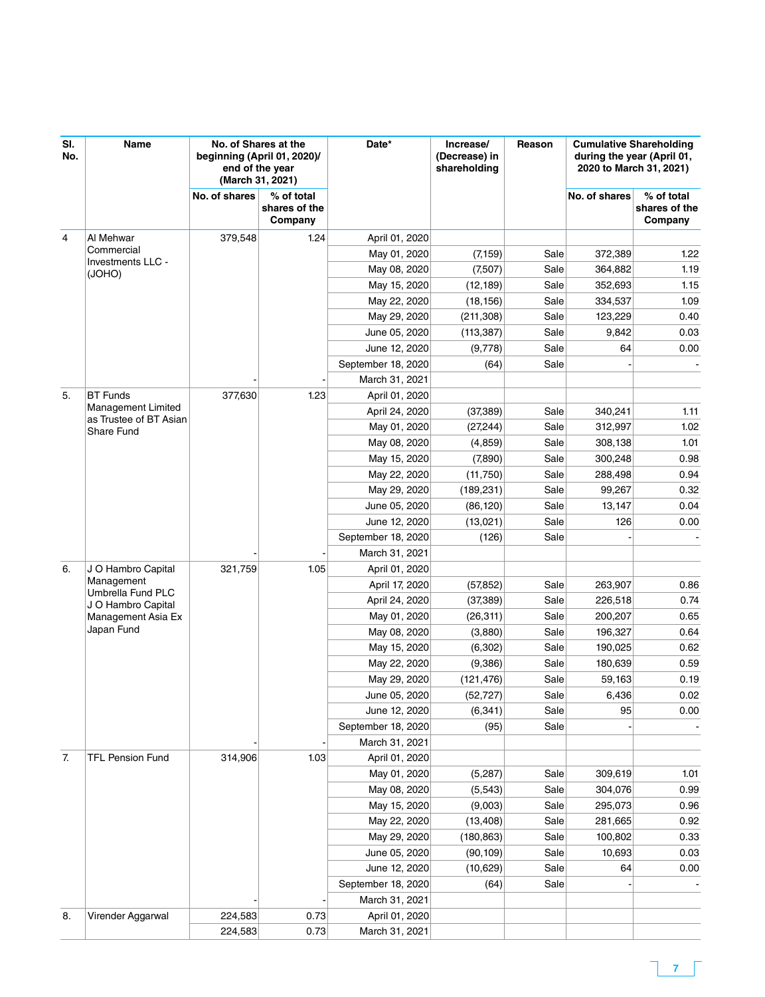| SI.<br>No.     | Name                                                                        | No. of Shares at the<br>beginning (April 01, 2020)/<br>end of the year<br>(March 31, 2021) |                                        | Date*                        | Increase/<br>(Decrease) in<br>shareholding | Reason       | <b>Cumulative Shareholding</b><br>during the year (April 01,<br>2020 to March 31, 2021) |                                        |
|----------------|-----------------------------------------------------------------------------|--------------------------------------------------------------------------------------------|----------------------------------------|------------------------------|--------------------------------------------|--------------|-----------------------------------------------------------------------------------------|----------------------------------------|
|                |                                                                             | No. of shares                                                                              | % of total<br>shares of the<br>Company |                              |                                            |              | No. of shares                                                                           | % of total<br>shares of the<br>Company |
| $\overline{4}$ | Al Mehwar                                                                   | 379,548                                                                                    | 1.24                                   | April 01, 2020               |                                            |              |                                                                                         |                                        |
|                | Commercial<br>Investments LLC -                                             |                                                                                            |                                        | May 01, 2020                 | (7, 159)                                   | Sale         | 372,389                                                                                 | 1.22                                   |
|                | (JOHO)                                                                      |                                                                                            |                                        | May 08, 2020                 | (7,507)                                    | Sale         | 364,882                                                                                 | 1.19                                   |
|                |                                                                             |                                                                                            |                                        | May 15, 2020                 | (12, 189)                                  | Sale         | 352,693                                                                                 | 1.15                                   |
|                |                                                                             |                                                                                            |                                        | May 22, 2020                 | (18, 156)                                  | Sale         | 334,537                                                                                 | 1.09                                   |
|                |                                                                             |                                                                                            |                                        | May 29, 2020                 | (211, 308)                                 | Sale         | 123,229                                                                                 | 0.40                                   |
|                |                                                                             |                                                                                            |                                        | June 05, 2020                | (113, 387)                                 | Sale         | 9,842                                                                                   | 0.03                                   |
|                |                                                                             |                                                                                            |                                        | June 12, 2020                | (9,778)                                    | Sale         | 64                                                                                      | 0.00                                   |
|                |                                                                             |                                                                                            |                                        | September 18, 2020           | (64)                                       | Sale         |                                                                                         |                                        |
|                |                                                                             |                                                                                            |                                        | March 31, 2021               |                                            |              |                                                                                         |                                        |
| 5.             | <b>BT</b> Funds                                                             | 377,630                                                                                    | 1.23                                   | April 01, 2020               |                                            |              |                                                                                         |                                        |
|                | <b>Management Limited</b><br>as Trustee of BT Asian                         |                                                                                            |                                        | April 24, 2020               | (37, 389)                                  | Sale         | 340,241                                                                                 | 1.11                                   |
|                | Share Fund                                                                  |                                                                                            |                                        | May 01, 2020                 | (27, 244)                                  | Sale         | 312,997                                                                                 | 1.02                                   |
|                |                                                                             |                                                                                            |                                        | May 08, 2020                 | (4, 859)                                   | Sale         | 308,138                                                                                 | 1.01                                   |
|                |                                                                             |                                                                                            |                                        | May 15, 2020                 | (7,890)                                    | Sale         | 300.248                                                                                 | 0.98                                   |
|                |                                                                             |                                                                                            |                                        | May 22, 2020                 | (11,750)                                   | Sale         | 288,498                                                                                 | 0.94                                   |
|                |                                                                             |                                                                                            |                                        | May 29, 2020                 | (189, 231)                                 | Sale         | 99,267                                                                                  | 0.32                                   |
|                |                                                                             |                                                                                            |                                        | June 05, 2020                | (86, 120)                                  | Sale         | 13,147                                                                                  | 0.04                                   |
|                |                                                                             |                                                                                            |                                        | June 12, 2020                | (13,021)                                   | Sale         | 126                                                                                     | 0.00                                   |
|                |                                                                             |                                                                                            |                                        | September 18, 2020           | (126)                                      | Sale         |                                                                                         |                                        |
|                |                                                                             |                                                                                            |                                        | March 31, 2021               |                                            |              |                                                                                         |                                        |
| 6.             | J O Hambro Capital<br>Management<br>Umbrella Fund PLC<br>J O Hambro Capital | 321,759                                                                                    | 1.05                                   | April 01, 2020               |                                            |              |                                                                                         |                                        |
|                |                                                                             |                                                                                            |                                        | April 17, 2020               | (57, 852)                                  | Sale         | 263,907                                                                                 | 0.86                                   |
|                |                                                                             |                                                                                            |                                        | April 24, 2020               | (37, 389)                                  | Sale<br>Sale | 226,518<br>200,207                                                                      | 0.74<br>0.65                           |
|                | Management Asia Ex<br>Japan Fund                                            |                                                                                            |                                        | May 01, 2020<br>May 08, 2020 | (26, 311)<br>(3,880)                       | Sale         | 196,327                                                                                 | 0.64                                   |
|                |                                                                             |                                                                                            |                                        | May 15, 2020                 | (6,302)                                    | Sale         | 190,025                                                                                 | 0.62                                   |
|                |                                                                             |                                                                                            |                                        | May 22, 2020                 | (9,386)                                    | Sale         | 180,639                                                                                 | 0.59                                   |
|                |                                                                             |                                                                                            |                                        | May 29, 2020                 | (121, 476)                                 | Sale         | 59,163                                                                                  | 0.19                                   |
|                |                                                                             |                                                                                            |                                        | June 05, 2020                | (52, 727)                                  | Sale         | 6,436                                                                                   | 0.02                                   |
|                |                                                                             |                                                                                            |                                        | June 12, 2020                | (6, 341)                                   | Sale         | 95                                                                                      | 0.00                                   |
|                |                                                                             |                                                                                            |                                        | September 18, 2020           | (95)                                       | Sale         |                                                                                         |                                        |
|                |                                                                             |                                                                                            |                                        | March 31, 2021               |                                            |              |                                                                                         |                                        |
| 7.             | <b>TFL Pension Fund</b>                                                     | 314,906                                                                                    | 1.03                                   | April 01, 2020               |                                            |              |                                                                                         |                                        |
|                |                                                                             |                                                                                            |                                        | May 01, 2020                 | (5,287)                                    | Sale         | 309,619                                                                                 | 1.01                                   |
|                |                                                                             |                                                                                            |                                        | May 08, 2020                 | (5, 543)                                   | Sale         | 304,076                                                                                 | 0.99                                   |
|                |                                                                             |                                                                                            |                                        | May 15, 2020                 | (9,003)                                    | Sale         | 295,073                                                                                 | 0.96                                   |
|                |                                                                             |                                                                                            |                                        | May 22, 2020                 | (13, 408)                                  | Sale         | 281,665                                                                                 | 0.92                                   |
|                |                                                                             |                                                                                            |                                        | May 29, 2020                 | (180, 863)                                 | Sale         | 100,802                                                                                 | 0.33                                   |
|                |                                                                             |                                                                                            |                                        | June 05, 2020                | (90, 109)                                  | Sale         | 10,693                                                                                  | 0.03                                   |
|                |                                                                             |                                                                                            |                                        | June 12, 2020                | (10,629)                                   | Sale         | 64                                                                                      | 0.00                                   |
|                |                                                                             |                                                                                            |                                        | September 18, 2020           | (64)                                       | Sale         |                                                                                         |                                        |
|                |                                                                             |                                                                                            |                                        | March 31, 2021               |                                            |              |                                                                                         |                                        |
| 8.             | Virender Aggarwal                                                           | 224,583                                                                                    | 0.73                                   | April 01, 2020               |                                            |              |                                                                                         |                                        |
|                |                                                                             | 224,583                                                                                    | 0.73                                   | March 31, 2021               |                                            |              |                                                                                         |                                        |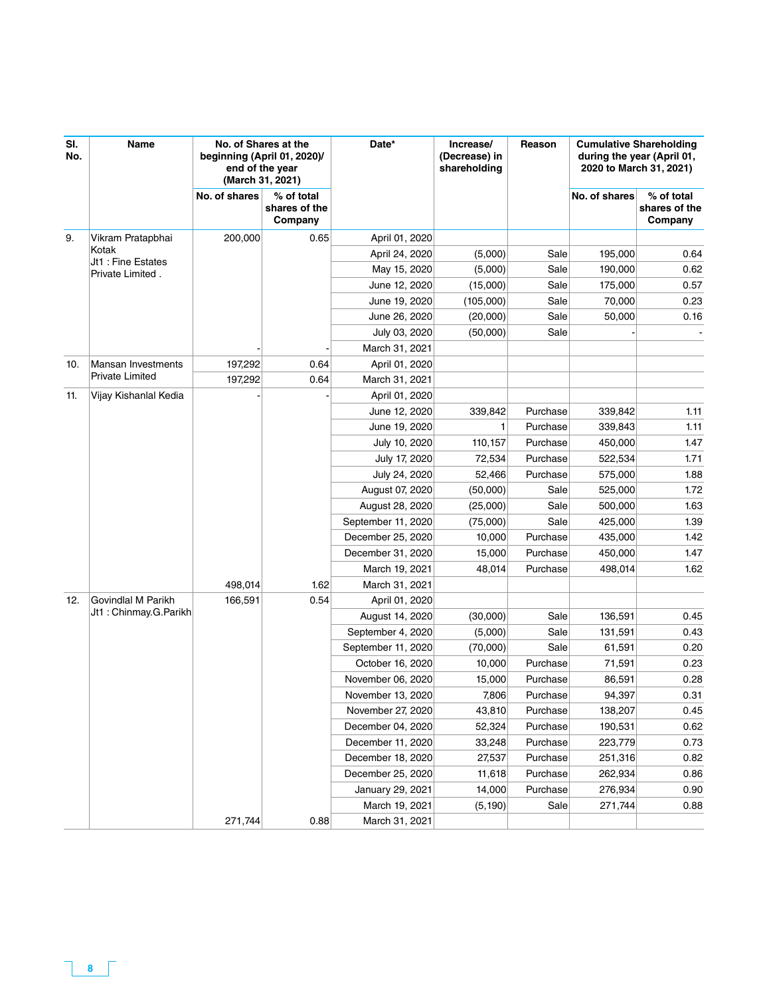| SI.<br>No. | Name                                   | No. of Shares at the<br>beginning (April 01, 2020)/<br>end of the year<br>(March 31, 2021) |                                        | Date*              | Increase/<br>(Decrease) in<br>shareholding | Reason   | <b>Cumulative Shareholding</b><br>during the year (April 01,<br>2020 to March 31, 2021) |                                        |
|------------|----------------------------------------|--------------------------------------------------------------------------------------------|----------------------------------------|--------------------|--------------------------------------------|----------|-----------------------------------------------------------------------------------------|----------------------------------------|
|            |                                        | No. of shares                                                                              | % of total<br>shares of the<br>Company |                    |                                            |          | No. of shares                                                                           | % of total<br>shares of the<br>Company |
| 9.         | Vikram Pratapbhai                      | 200,000                                                                                    | 0.65                                   | April 01, 2020     |                                            |          |                                                                                         |                                        |
|            | Kotak                                  |                                                                                            |                                        | April 24, 2020     | (5,000)                                    | Sale     | 195,000                                                                                 | 0.64                                   |
|            | Jt1 : Fine Estates<br>Private Limited. |                                                                                            |                                        | May 15, 2020       | (5,000)                                    | Sale     | 190,000                                                                                 | 0.62                                   |
|            |                                        |                                                                                            |                                        | June 12, 2020      | (15,000)                                   | Sale     | 175,000                                                                                 | 0.57                                   |
|            |                                        |                                                                                            |                                        | June 19, 2020      | (105,000)                                  | Sale     | 70,000                                                                                  | 0.23                                   |
|            |                                        |                                                                                            |                                        | June 26, 2020      | (20,000)                                   | Sale     | 50,000                                                                                  | 0.16                                   |
|            |                                        |                                                                                            |                                        | July 03, 2020      | (50,000)                                   | Sale     |                                                                                         |                                        |
|            |                                        |                                                                                            |                                        | March 31, 2021     |                                            |          |                                                                                         |                                        |
| 10.        | <b>Mansan Investments</b>              | 197,292                                                                                    | 0.64                                   | April 01, 2020     |                                            |          |                                                                                         |                                        |
|            | <b>Private Limited</b>                 | 197,292                                                                                    | 0.64                                   | March 31, 2021     |                                            |          |                                                                                         |                                        |
| 11.        | Vijay Kishanlal Kedia                  |                                                                                            |                                        | April 01, 2020     |                                            |          |                                                                                         |                                        |
|            |                                        |                                                                                            |                                        | June 12, 2020      | 339,842                                    | Purchase | 339,842                                                                                 | 1.11                                   |
|            |                                        |                                                                                            |                                        | June 19, 2020      | 1                                          | Purchase | 339,843                                                                                 | 1.11                                   |
|            |                                        |                                                                                            |                                        | July 10, 2020      | 110,157                                    | Purchase | 450,000                                                                                 | 1.47                                   |
|            |                                        |                                                                                            |                                        | July 17, 2020      | 72,534                                     | Purchase | 522,534                                                                                 | 1.71                                   |
|            |                                        |                                                                                            |                                        | July 24, 2020      | 52,466                                     | Purchase | 575,000                                                                                 | 1.88                                   |
|            |                                        |                                                                                            |                                        | August 07, 2020    | (50,000)                                   | Sale     | 525,000                                                                                 | 1.72                                   |
|            |                                        |                                                                                            |                                        | August 28, 2020    | (25,000)                                   | Sale     | 500,000                                                                                 | 1.63                                   |
|            |                                        |                                                                                            |                                        | September 11, 2020 | (75,000)                                   | Sale     | 425,000                                                                                 | 1.39                                   |
|            |                                        |                                                                                            |                                        | December 25, 2020  | 10,000                                     | Purchase | 435,000                                                                                 | 1.42                                   |
|            |                                        |                                                                                            |                                        | December 31, 2020  | 15,000                                     | Purchase | 450,000                                                                                 | 1.47                                   |
|            |                                        |                                                                                            |                                        | March 19, 2021     | 48,014                                     | Purchase | 498,014                                                                                 | 1.62                                   |
|            |                                        | 498,014                                                                                    | 1.62                                   | March 31, 2021     |                                            |          |                                                                                         |                                        |
| 12.        | Govindlal M Parikh                     | 166,591                                                                                    | 0.54                                   | April 01, 2020     |                                            |          |                                                                                         |                                        |
|            | Jt1 : Chinmay.G.Parikh                 |                                                                                            |                                        | August 14, 2020    | (30,000)                                   | Sale     | 136,591                                                                                 | 0.45                                   |
|            |                                        |                                                                                            |                                        | September 4, 2020  | (5,000)                                    | Sale     | 131,591                                                                                 | 0.43                                   |
|            |                                        |                                                                                            |                                        | September 11, 2020 | (70,000)                                   | Sale     | 61,591                                                                                  | 0.20                                   |
|            |                                        |                                                                                            |                                        | October 16, 2020   | 10,000                                     | Purchase | 71,591                                                                                  | 0.23                                   |
|            |                                        |                                                                                            |                                        | November 06, 2020  | 15,000                                     | Purchase | 86,591                                                                                  | 0.28                                   |
|            |                                        |                                                                                            |                                        | November 13, 2020  | 7,806                                      | Purchase | 94,397                                                                                  | 0.31                                   |
|            |                                        |                                                                                            |                                        | November 27, 2020  | 43,810                                     | Purchase | 138,207                                                                                 | 0.45                                   |
|            |                                        |                                                                                            |                                        | December 04, 2020  | 52,324                                     | Purchase | 190,531                                                                                 | 0.62                                   |
|            |                                        |                                                                                            |                                        | December 11, 2020  | 33,248                                     | Purchase | 223,779                                                                                 | 0.73                                   |
|            |                                        |                                                                                            |                                        | December 18, 2020  | 27,537                                     | Purchase | 251,316                                                                                 | 0.82                                   |
|            |                                        |                                                                                            |                                        | December 25, 2020  | 11,618                                     | Purchase | 262,934                                                                                 | 0.86                                   |
|            |                                        |                                                                                            |                                        | January 29, 2021   | 14,000                                     | Purchase | 276,934                                                                                 | 0.90                                   |
|            |                                        |                                                                                            |                                        | March 19, 2021     | (5, 190)                                   | Sale     | 271,744                                                                                 | 0.88                                   |
|            |                                        | 271,744                                                                                    | 0.88                                   | March 31, 2021     |                                            |          |                                                                                         |                                        |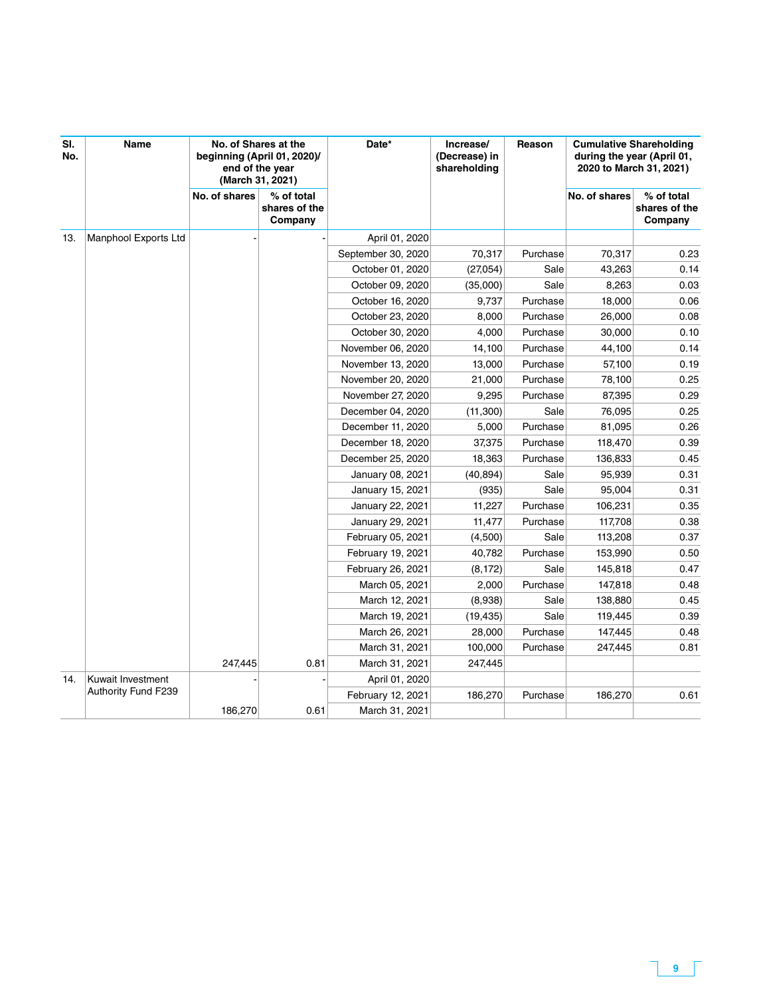| SI.<br>No. | Name                 | No. of Shares at the<br>beginning (April 01, 2020)/<br>end of the year<br>(March 31, 2021) |                                        | Date*              | Increase/<br>(Decrease) in<br>shareholding | Reason   | <b>Cumulative Shareholding</b><br>during the year (April 01,<br>2020 to March 31, 2021) |                                        |
|------------|----------------------|--------------------------------------------------------------------------------------------|----------------------------------------|--------------------|--------------------------------------------|----------|-----------------------------------------------------------------------------------------|----------------------------------------|
|            |                      | No. of shares                                                                              | % of total<br>shares of the<br>Company |                    |                                            |          | No. of shares                                                                           | % of total<br>shares of the<br>Company |
| 13.        | Manphool Exports Ltd |                                                                                            |                                        | April 01, 2020     |                                            |          |                                                                                         |                                        |
|            |                      |                                                                                            |                                        | September 30, 2020 | 70,317                                     | Purchase | 70,317                                                                                  | 0.23                                   |
|            |                      |                                                                                            |                                        | October 01, 2020   | (27,054)                                   | Sale     | 43,263                                                                                  | 0.14                                   |
|            |                      |                                                                                            |                                        | October 09, 2020   | (35,000)                                   | Sale     | 8,263                                                                                   | 0.03                                   |
|            |                      |                                                                                            |                                        | October 16, 2020   | 9,737                                      | Purchase | 18,000                                                                                  | 0.06                                   |
|            |                      |                                                                                            |                                        | October 23, 2020   | 8,000                                      | Purchase | 26,000                                                                                  | 0.08                                   |
|            |                      |                                                                                            |                                        | October 30, 2020   | 4,000                                      | Purchase | 30,000                                                                                  | 0.10                                   |
|            |                      |                                                                                            |                                        | November 06, 2020  | 14,100                                     | Purchase | 44,100                                                                                  | 0.14                                   |
|            |                      |                                                                                            |                                        | November 13, 2020  | 13,000                                     | Purchase | 57,100                                                                                  | 0.19                                   |
|            |                      |                                                                                            |                                        | November 20, 2020  | 21,000                                     | Purchase | 78,100                                                                                  | 0.25                                   |
|            |                      |                                                                                            |                                        | November 27, 2020  | 9,295                                      | Purchase | 87,395                                                                                  | 0.29                                   |
|            |                      |                                                                                            |                                        | December 04, 2020  | (11,300)                                   | Sale     | 76,095                                                                                  | 0.25                                   |
|            |                      |                                                                                            |                                        | December 11, 2020  | 5,000                                      | Purchase | 81,095                                                                                  | 0.26                                   |
|            |                      |                                                                                            |                                        | December 18, 2020  | 37,375                                     | Purchase | 118,470                                                                                 | 0.39                                   |
|            |                      |                                                                                            |                                        | December 25, 2020  | 18,363                                     | Purchase | 136,833                                                                                 | 0.45                                   |
|            |                      |                                                                                            |                                        | January 08, 2021   | (40, 894)                                  | Sale     | 95,939                                                                                  | 0.31                                   |
|            |                      |                                                                                            |                                        | January 15, 2021   | (935)                                      | Sale     | 95,004                                                                                  | 0.31                                   |
|            |                      |                                                                                            |                                        | January 22, 2021   | 11,227                                     | Purchase | 106,231                                                                                 | 0.35                                   |
|            |                      |                                                                                            |                                        | January 29, 2021   | 11,477                                     | Purchase | 117,708                                                                                 | 0.38                                   |
|            |                      |                                                                                            |                                        | February 05, 2021  | (4,500)                                    | Sale     | 113,208                                                                                 | 0.37                                   |
|            |                      |                                                                                            |                                        | February 19, 2021  | 40,782                                     | Purchase | 153,990                                                                                 | 0.50                                   |
|            |                      |                                                                                            |                                        | February 26, 2021  | (8, 172)                                   | Sale     | 145,818                                                                                 | 0.47                                   |
|            |                      |                                                                                            |                                        | March 05, 2021     | 2,000                                      | Purchase | 147,818                                                                                 | 0.48                                   |
|            |                      |                                                                                            |                                        | March 12, 2021     | (8,938)                                    | Sale     | 138,880                                                                                 | 0.45                                   |
|            |                      |                                                                                            |                                        | March 19, 2021     | (19, 435)                                  | Sale     | 119,445                                                                                 | 0.39                                   |
|            |                      |                                                                                            |                                        | March 26, 2021     | 28,000                                     | Purchase | 147,445                                                                                 | 0.48                                   |
|            |                      |                                                                                            |                                        | March 31, 2021     | 100,000                                    | Purchase | 247,445                                                                                 | 0.81                                   |
|            |                      | 247,445                                                                                    | 0.81                                   | March 31, 2021     | 247,445                                    |          |                                                                                         |                                        |
| 14.        | Kuwait Investment    |                                                                                            |                                        | April 01, 2020     |                                            |          |                                                                                         |                                        |
|            | Authority Fund F239  |                                                                                            |                                        | February 12, 2021  | 186,270                                    | Purchase | 186,270                                                                                 | 0.61                                   |
|            |                      | 186,270                                                                                    | 0.61                                   | March 31, 2021     |                                            |          |                                                                                         |                                        |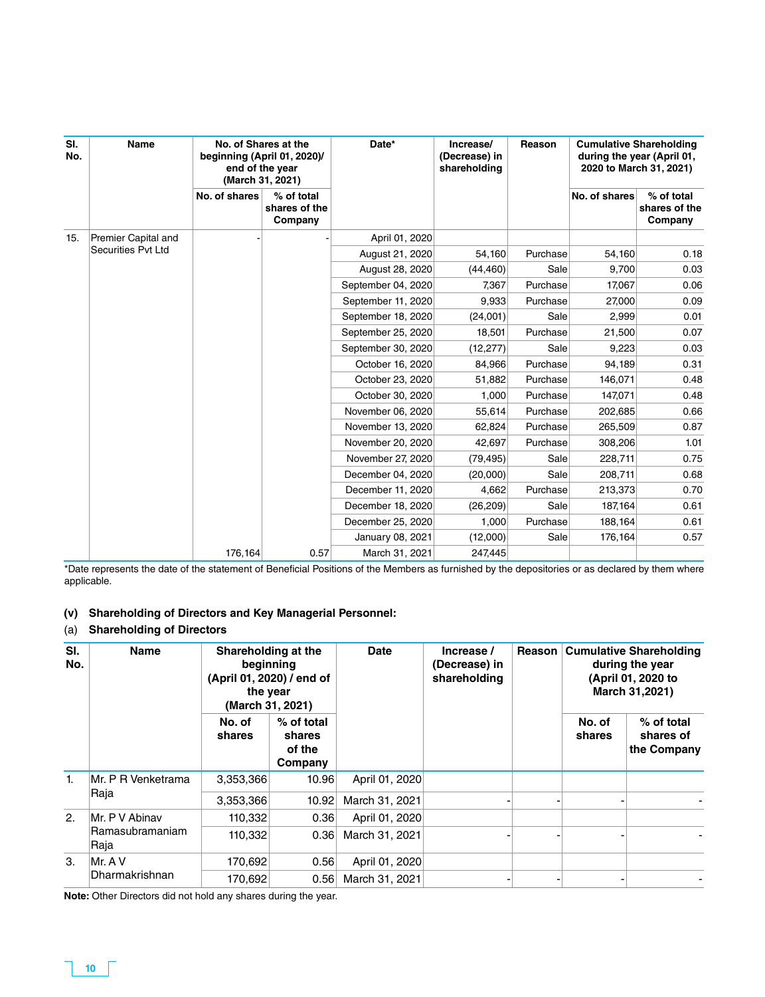| SI.<br>No. | Name                      | No. of Shares at the<br>beginning (April 01, 2020)/<br>end of the year<br>(March 31, 2021) |                                        | Date*              | Increase/<br>(Decrease) in<br>shareholding | Reason   | <b>Cumulative Shareholding</b><br>during the year (April 01,<br>2020 to March 31, 2021) |                                        |
|------------|---------------------------|--------------------------------------------------------------------------------------------|----------------------------------------|--------------------|--------------------------------------------|----------|-----------------------------------------------------------------------------------------|----------------------------------------|
|            |                           | No. of shares                                                                              | % of total<br>shares of the<br>Company |                    |                                            |          | No. of shares                                                                           | % of total<br>shares of the<br>Company |
| 15.        | Premier Capital and       |                                                                                            |                                        | April 01, 2020     |                                            |          |                                                                                         |                                        |
|            | <b>Securities Pvt Ltd</b> |                                                                                            |                                        | August 21, 2020    | 54,160                                     | Purchase | 54,160                                                                                  | 0.18                                   |
|            |                           |                                                                                            |                                        | August 28, 2020    | (44, 460)                                  | Sale     | 9,700                                                                                   | 0.03                                   |
|            |                           |                                                                                            |                                        | September 04, 2020 | 7,367                                      | Purchase | 17,067                                                                                  | 0.06                                   |
|            |                           |                                                                                            |                                        | September 11, 2020 | 9,933                                      | Purchase | 27,000                                                                                  | 0.09                                   |
|            |                           |                                                                                            |                                        | September 18, 2020 | (24,001)                                   | Sale     | 2,999                                                                                   | 0.01                                   |
|            |                           |                                                                                            |                                        | September 25, 2020 | 18,501                                     | Purchase | 21,500                                                                                  | 0.07                                   |
|            |                           |                                                                                            |                                        | September 30, 2020 | (12, 277)                                  | Sale     | 9,223                                                                                   | 0.03                                   |
|            |                           |                                                                                            |                                        | October 16, 2020   | 84,966                                     | Purchase | 94,189                                                                                  | 0.31                                   |
|            |                           |                                                                                            |                                        | October 23, 2020   | 51,882                                     | Purchase | 146,071                                                                                 | 0.48                                   |
|            |                           |                                                                                            |                                        | October 30, 2020   | 1,000                                      | Purchase | 147,071                                                                                 | 0.48                                   |
|            |                           |                                                                                            |                                        | November 06, 2020  | 55,614                                     | Purchase | 202,685                                                                                 | 0.66                                   |
|            |                           |                                                                                            |                                        | November 13, 2020  | 62,824                                     | Purchase | 265,509                                                                                 | 0.87                                   |
|            |                           |                                                                                            |                                        | November 20, 2020  | 42,697                                     | Purchase | 308,206                                                                                 | 1.01                                   |
|            |                           |                                                                                            |                                        | November 27, 2020  | (79, 495)                                  | Sale     | 228,711                                                                                 | 0.75                                   |
|            |                           |                                                                                            |                                        | December 04, 2020  | (20,000)                                   | Sale     | 208,711                                                                                 | 0.68                                   |
|            |                           |                                                                                            |                                        | December 11, 2020  | 4,662                                      | Purchase | 213,373                                                                                 | 0.70                                   |
|            |                           |                                                                                            |                                        | December 18, 2020  | (26, 209)                                  | Sale     | 187,164                                                                                 | 0.61                                   |
|            |                           |                                                                                            |                                        | December 25, 2020  | 1,000                                      | Purchase | 188,164                                                                                 | 0.61                                   |
|            |                           |                                                                                            |                                        | January 08, 2021   | (12,000)                                   | Sale     | 176,164                                                                                 | 0.57                                   |
|            |                           | 176,164                                                                                    | 0.57                                   | March 31, 2021     | 247,445                                    |          |                                                                                         |                                        |

\*Date represents the date of the statement of Beneficial Positions of the Members as furnished by the depositories or as declared by them where applicable.

### **(v) Shareholding of Directors and Key Managerial Personnel:**

### (a) **Shareholding of Directors**

| SI.<br>No. | <b>Name</b>                               | Shareholding at the<br>beginning<br>(April 01, 2020) / end of<br>the year<br>(March 31, 2021) |                                           | <b>Date</b>                      | Increase /<br>(Decrease) in<br>shareholding | Reason | <b>Cumulative Shareholding</b><br>during the year<br>(April 01, 2020 to<br>March 31,2021) |                                        |
|------------|-------------------------------------------|-----------------------------------------------------------------------------------------------|-------------------------------------------|----------------------------------|---------------------------------------------|--------|-------------------------------------------------------------------------------------------|----------------------------------------|
|            |                                           | No. of<br>shares                                                                              | % of total<br>shares<br>of the<br>Company |                                  |                                             |        | No. of<br>shares                                                                          | % of total<br>shares of<br>the Company |
| 1.         | Mr. P R Venketrama<br>Raja                | 3,353,366<br>3,353,366                                                                        | 10.96<br>10.92                            | April 01, 2020<br>March 31, 2021 |                                             |        |                                                                                           |                                        |
| 2.         | Mr. P V Abinav<br>Ramasubramaniam<br>Raja | 110,332<br>110,332                                                                            | 0.36<br>0.36                              | April 01, 2020<br>March 31, 2021 |                                             |        |                                                                                           |                                        |
| 3.         | Mr. A V<br>Dharmakrishnan                 | 170,692<br>170,692                                                                            | 0.56<br>0.56                              | April 01, 2020<br>March 31, 2021 |                                             |        |                                                                                           |                                        |

**Note:** Other Directors did not hold any shares during the year.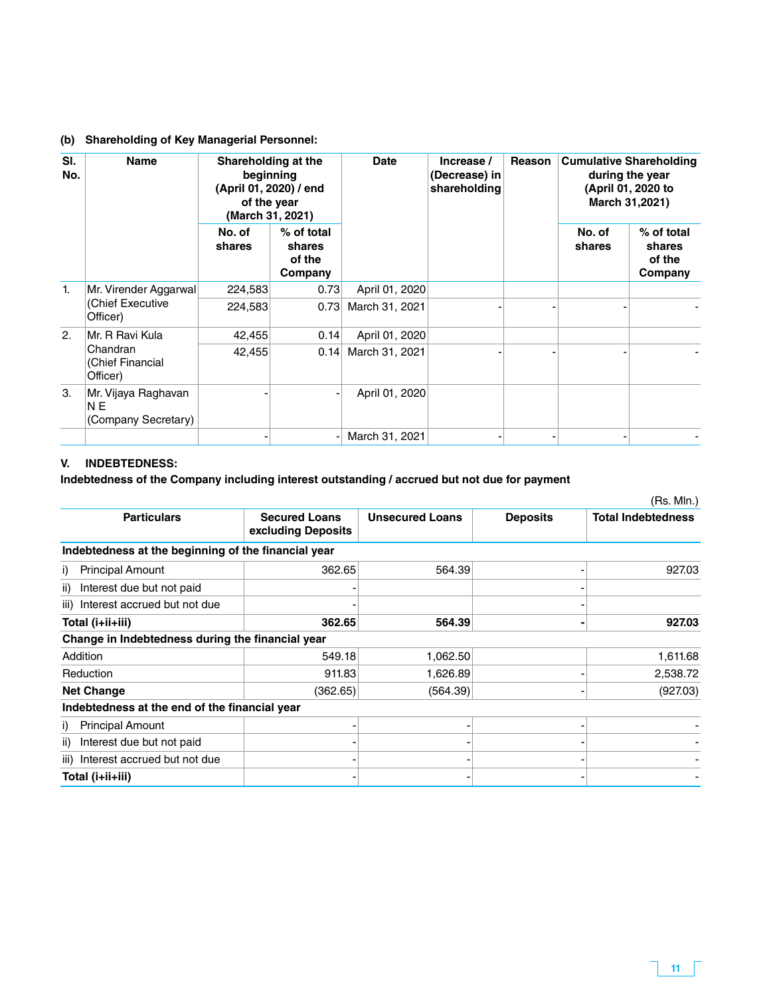### **(b) Shareholding of Key Managerial Personnel:**

| SI.<br>No.     | <b>Name</b>                                                   | Shareholding at the<br>beginning<br>(April 01, 2020) / end<br>of the year<br>(March 31, 2021) |      | <b>Date</b>      | Increase /<br>(Decrease) in<br>shareholding | Reason | <b>Cumulative Shareholding</b><br>during the year<br>(April 01, 2020 to<br>March 31,2021) |  |
|----------------|---------------------------------------------------------------|-----------------------------------------------------------------------------------------------|------|------------------|---------------------------------------------|--------|-------------------------------------------------------------------------------------------|--|
|                | % of total<br>No. of<br>shares<br>shares<br>of the<br>Company |                                                                                               |      | No. of<br>shares | % of total<br>shares<br>of the<br>Company   |        |                                                                                           |  |
| $\mathbf{1}$ . | Mr. Virender Aggarwal<br>(Chief Executive<br>Officer)         | 224,583                                                                                       | 0.73 | April 01, 2020   |                                             |        |                                                                                           |  |
|                |                                                               | 224,583                                                                                       | 0.73 | March 31, 2021   |                                             |        |                                                                                           |  |
| 2.             | Mr. R Ravi Kula<br>Chandran<br>(Chief Financial<br>Officer)   | 42,455                                                                                        | 0.14 | April 01, 2020   |                                             |        |                                                                                           |  |
|                |                                                               | 42,455                                                                                        | 0.14 | March 31, 2021   |                                             |        |                                                                                           |  |
| 3.             | Mr. Vijaya Raghavan<br>N <sub>E</sub><br>(Company Secretary)  |                                                                                               |      | April 01, 2020   |                                             |        |                                                                                           |  |
|                |                                                               |                                                                                               |      | March 31, 2021   |                                             |        |                                                                                           |  |

### **V. INDEBTEDNESS:**

### **Indebtedness of the Company including interest outstanding / accrued but not due for payment**

|                                                     |                                            |                        |                 | (Rs. Mln.)                |
|-----------------------------------------------------|--------------------------------------------|------------------------|-----------------|---------------------------|
| <b>Particulars</b>                                  | <b>Secured Loans</b><br>excluding Deposits | <b>Unsecured Loans</b> | <b>Deposits</b> | <b>Total Indebtedness</b> |
| Indebtedness at the beginning of the financial year |                                            |                        |                 |                           |
| <b>Principal Amount</b><br>i)                       | 362.65                                     | 564.39                 |                 | 927.03                    |
| Interest due but not paid<br>ii)                    |                                            |                        |                 |                           |
| Interest accrued but not due<br>iii)                |                                            |                        |                 |                           |
| Total (i+ii+iii)                                    | 362.65                                     | 564.39                 |                 | 927.03                    |
| Change in Indebtedness during the financial year    |                                            |                        |                 |                           |
| Addition                                            | 549.18                                     | 1,062.50               |                 | 1,611.68                  |
| Reduction                                           | 911.83                                     | 1,626.89               |                 | 2,538.72                  |
| <b>Net Change</b>                                   | (362.65)                                   | (564.39)               |                 | (927.03)                  |
| Indebtedness at the end of the financial year       |                                            |                        |                 |                           |
| <b>Principal Amount</b><br>i)                       |                                            |                        |                 |                           |
| Interest due but not paid<br>ii)                    |                                            |                        |                 |                           |
| Interest accrued but not due<br>iii)                |                                            |                        |                 |                           |
| Total (i+ii+iii)                                    |                                            |                        |                 |                           |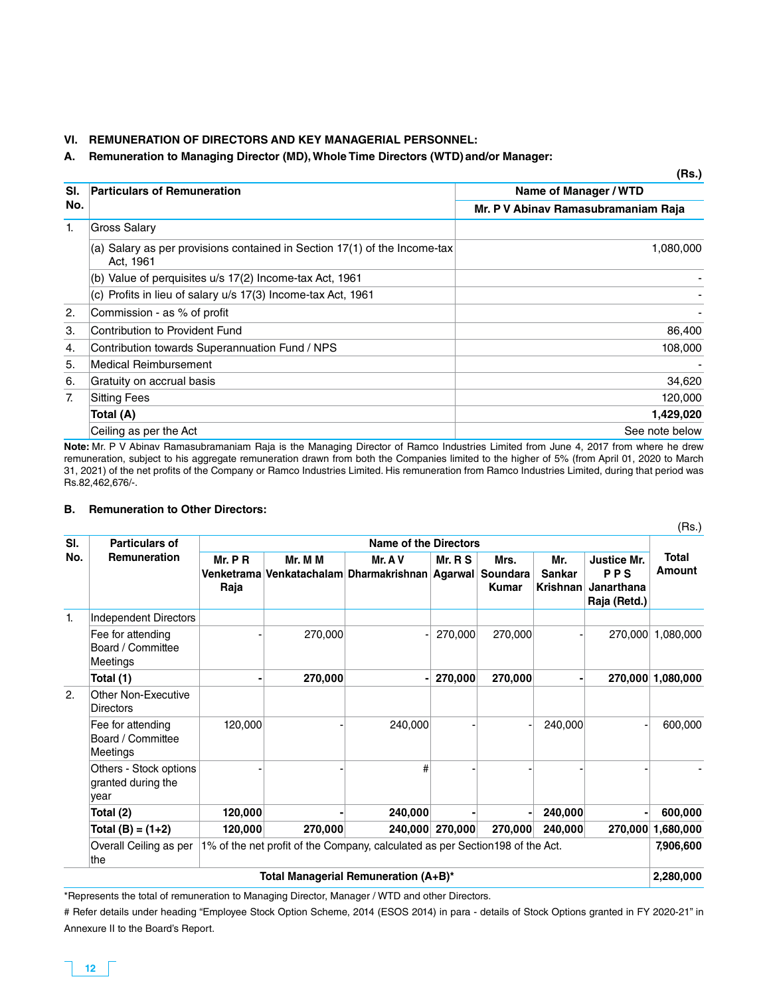#### **VI. REMUNERATION OF DIRECTORS AND KEY MANAGERIAL PERSONNEL:**

#### **A. Remuneration to Managing Director (MD), Whole Time Directors (WTD) and/or Manager:**

|     |                                                                                        | (Rs.)                               |
|-----|----------------------------------------------------------------------------------------|-------------------------------------|
| SI. | <b>Particulars of Remuneration</b>                                                     | Name of Manager / WTD               |
| No. |                                                                                        | Mr. P V Abinav Ramasubramaniam Raja |
| 1.  | <b>Gross Salary</b>                                                                    |                                     |
|     | (a) Salary as per provisions contained in Section 17(1) of the Income-tax<br>Act, 1961 | 1,080,000                           |
|     | (b) Value of perquisites u/s 17(2) Income-tax Act, 1961                                |                                     |
|     | (c) Profits in lieu of salary u/s 17(3) Income-tax Act, 1961                           |                                     |
| 2.  | Commission - as % of profit                                                            |                                     |
| 3.  | Contribution to Provident Fund                                                         | 86,400                              |
| 4.  | Contribution towards Superannuation Fund / NPS                                         | 108,000                             |
| 5.  | <b>Medical Reimbursement</b>                                                           |                                     |
| 6.  | Gratuity on accrual basis                                                              | 34,620                              |
| 7.  | <b>Sitting Fees</b>                                                                    | 120,000                             |
|     | Total (A)                                                                              | 1,429,020                           |
|     | Ceiling as per the Act                                                                 | See note below                      |

**Note:** Mr. P V Abinav Ramasubramaniam Raja is the Managing Director of Ramco Industries Limited from June 4, 2017 from where he drew remuneration, subject to his aggregate remuneration drawn from both the Companies limited to the higher of 5% (from April 01, 2020 to March 31, 2021) of the net profits of the Company or Ramco Industries Limited. His remuneration from Ramco Industries Limited, during that period was Rs.82,462,676/-.

#### **B. Remuneration to Other Directors:**

| SI. | <b>Particulars of</b>                                | <b>Name of the Directors</b> |         |                                                                                |         |                                  |                                  |                                                         |                        |
|-----|------------------------------------------------------|------------------------------|---------|--------------------------------------------------------------------------------|---------|----------------------------------|----------------------------------|---------------------------------------------------------|------------------------|
| No. | <b>Remuneration</b>                                  | Mr. P R<br>Raja              | Mr. M M | Mr. A V<br>Venketrama Venkatachalam Dharmakrishnan Agarwal                     | Mr. R S | Mrs.<br>Soundara<br><b>Kumar</b> | Mr.<br><b>Sankar</b><br>Krishnan | <b>Justice Mr.</b><br>PPS<br>Janarthana<br>Raja (Retd.) | <b>Total</b><br>Amount |
| 1.  | <b>Independent Directors</b>                         |                              |         |                                                                                |         |                                  |                                  |                                                         |                        |
|     | Fee for attending<br>Board / Committee<br>Meetings   |                              | 270,000 |                                                                                | 270,000 | 270,000                          |                                  |                                                         | 270,000 1,080,000      |
|     | Total (1)                                            |                              | 270,000 |                                                                                | 270,000 | 270,000                          |                                  |                                                         | 270,000 1,080,000      |
| 2.  | Other Non-Executive<br><b>Directors</b>              |                              |         |                                                                                |         |                                  |                                  |                                                         |                        |
|     | Fee for attending<br>Board / Committee<br>Meetings   | 120,000                      |         | 240,000                                                                        |         |                                  | 240,000                          |                                                         | 600,000                |
|     | Others - Stock options<br>granted during the<br>year |                              |         | #                                                                              |         |                                  |                                  |                                                         |                        |
|     | Total (2)                                            | 120,000                      |         | 240,000                                                                        |         |                                  | 240,000                          |                                                         | 600,000                |
|     | Total $(B) = (1+2)$                                  | 120,000                      | 270,000 | 240,000                                                                        | 270,000 | 270,000                          | 240,000                          | 270,000                                                 | 1,680,000              |
|     | Overall Ceiling as per<br>the                        |                              |         | 1% of the net profit of the Company, calculated as per Section 198 of the Act. |         |                                  |                                  |                                                         | 7,906,600              |
|     |                                                      |                              |         | Total Managerial Remuneration (A+B)*                                           |         |                                  |                                  |                                                         | 2,280,000              |

\*Represents the total of remuneration to Managing Director, Manager / WTD and other Directors.

# Refer details under heading "Employee Stock Option Scheme, 2014 (ESOS 2014) in para - details of Stock Options granted in FY 2020-21" in Annexure II to the Board's Report.